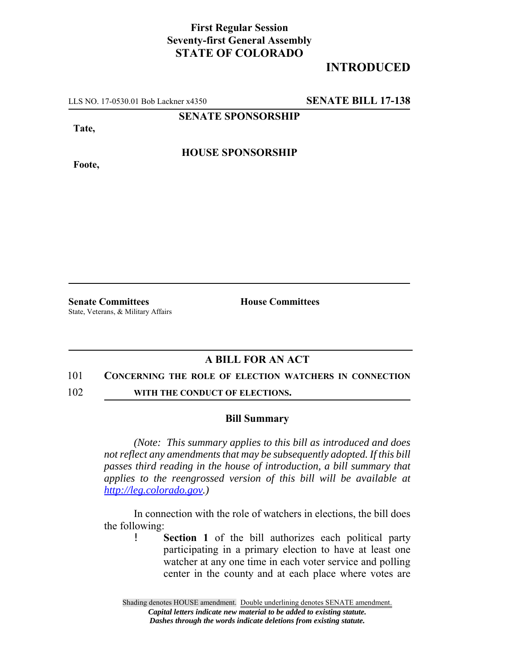## **First Regular Session Seventy-first General Assembly STATE OF COLORADO**

# **INTRODUCED**

LLS NO. 17-0530.01 Bob Lackner x4350 **SENATE BILL 17-138**

**SENATE SPONSORSHIP**

**Tate,**

**Foote,**

**HOUSE SPONSORSHIP**

**Senate Committees House Committees** State, Veterans, & Military Affairs

### **A BILL FOR AN ACT**

### 101 **CONCERNING THE ROLE OF ELECTION WATCHERS IN CONNECTION**

102 **WITH THE CONDUCT OF ELECTIONS.** 

### **Bill Summary**

*(Note: This summary applies to this bill as introduced and does not reflect any amendments that may be subsequently adopted. If this bill passes third reading in the house of introduction, a bill summary that applies to the reengrossed version of this bill will be available at http://leg.colorado.gov.)*

In connection with the role of watchers in elections, the bill does the following:

> ! **Section 1** of the bill authorizes each political party participating in a primary election to have at least one watcher at any one time in each voter service and polling center in the county and at each place where votes are

Shading denotes HOUSE amendment. Double underlining denotes SENATE amendment. *Capital letters indicate new material to be added to existing statute. Dashes through the words indicate deletions from existing statute.*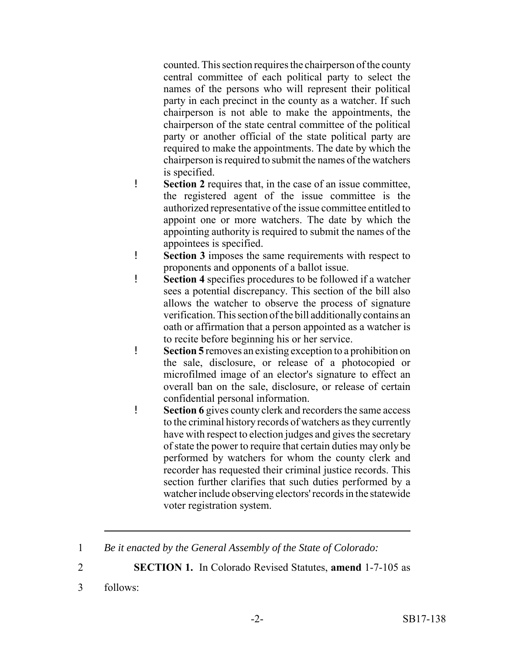counted. This section requires the chairperson of the county central committee of each political party to select the names of the persons who will represent their political party in each precinct in the county as a watcher. If such chairperson is not able to make the appointments, the chairperson of the state central committee of the political party or another official of the state political party are required to make the appointments. The date by which the chairperson is required to submit the names of the watchers is specified.

- ! **Section 2** requires that, in the case of an issue committee, the registered agent of the issue committee is the authorized representative of the issue committee entitled to appoint one or more watchers. The date by which the appointing authority is required to submit the names of the appointees is specified.
- ! **Section 3** imposes the same requirements with respect to proponents and opponents of a ballot issue.
- ! **Section 4** specifies procedures to be followed if a watcher sees a potential discrepancy. This section of the bill also allows the watcher to observe the process of signature verification. This section of the bill additionally contains an oath or affirmation that a person appointed as a watcher is to recite before beginning his or her service.
- ! **Section 5** removes an existing exception to a prohibition on the sale, disclosure, or release of a photocopied or microfilmed image of an elector's signature to effect an overall ban on the sale, disclosure, or release of certain confidential personal information.
- ! **Section 6** gives county clerk and recorders the same access to the criminal history records of watchers as they currently have with respect to election judges and gives the secretary of state the power to require that certain duties may only be performed by watchers for whom the county clerk and recorder has requested their criminal justice records. This section further clarifies that such duties performed by a watcher include observing electors' records in the statewide voter registration system.
- 1 *Be it enacted by the General Assembly of the State of Colorado:*
- 2 **SECTION 1.** In Colorado Revised Statutes, **amend** 1-7-105 as
- 3 follows: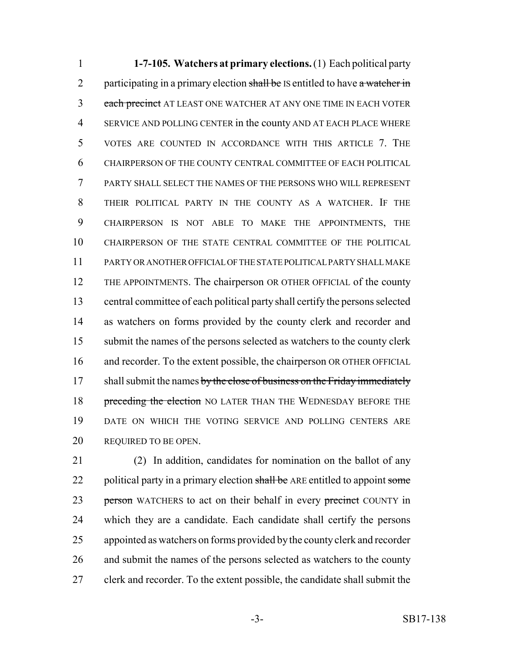**1-7-105. Watchers at primary elections.** (1) Each political party 2 participating in a primary election shall be IS entitled to have a watcher in 3 each precinct AT LEAST ONE WATCHER AT ANY ONE TIME IN EACH VOTER SERVICE AND POLLING CENTER in the county AND AT EACH PLACE WHERE VOTES ARE COUNTED IN ACCORDANCE WITH THIS ARTICLE 7. THE CHAIRPERSON OF THE COUNTY CENTRAL COMMITTEE OF EACH POLITICAL PARTY SHALL SELECT THE NAMES OF THE PERSONS WHO WILL REPRESENT THEIR POLITICAL PARTY IN THE COUNTY AS A WATCHER. IF THE CHAIRPERSON IS NOT ABLE TO MAKE THE APPOINTMENTS, THE CHAIRPERSON OF THE STATE CENTRAL COMMITTEE OF THE POLITICAL PARTY OR ANOTHER OFFICIAL OF THE STATE POLITICAL PARTY SHALL MAKE THE APPOINTMENTS. The chairperson OR OTHER OFFICIAL of the county central committee of each political party shall certify the persons selected as watchers on forms provided by the county clerk and recorder and submit the names of the persons selected as watchers to the county clerk and recorder. To the extent possible, the chairperson OR OTHER OFFICIAL 17 shall submit the names by the close of business on the Friday immediately 18 preceding the election NO LATER THAN THE WEDNESDAY BEFORE THE DATE ON WHICH THE VOTING SERVICE AND POLLING CENTERS ARE 20 REQUIRED TO BE OPEN.

 (2) In addition, candidates for nomination on the ballot of any 22 political party in a primary election shall be ARE entitled to appoint some 23 person WATCHERS to act on their behalf in every precinct COUNTY in which they are a candidate. Each candidate shall certify the persons appointed as watchers on forms provided by the county clerk and recorder 26 and submit the names of the persons selected as watchers to the county clerk and recorder. To the extent possible, the candidate shall submit the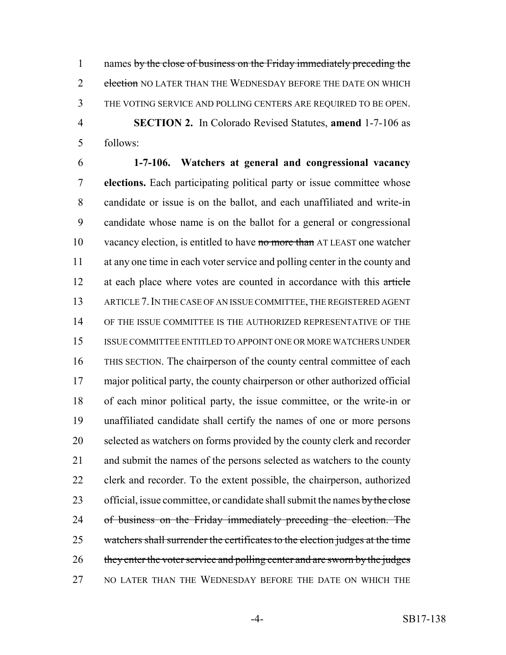1 names by the close of business on the Friday immediately preceding the 2 election NO LATER THAN THE WEDNESDAY BEFORE THE DATE ON WHICH THE VOTING SERVICE AND POLLING CENTERS ARE REQUIRED TO BE OPEN. **SECTION 2.** In Colorado Revised Statutes, **amend** 1-7-106 as follows:

 **1-7-106. Watchers at general and congressional vacancy elections.** Each participating political party or issue committee whose candidate or issue is on the ballot, and each unaffiliated and write-in candidate whose name is on the ballot for a general or congressional 10 vacancy election, is entitled to have no more than AT LEAST one watcher at any one time in each voter service and polling center in the county and 12 at each place where votes are counted in accordance with this article ARTICLE 7.IN THE CASE OF AN ISSUE COMMITTEE, THE REGISTERED AGENT OF THE ISSUE COMMITTEE IS THE AUTHORIZED REPRESENTATIVE OF THE ISSUE COMMITTEE ENTITLED TO APPOINT ONE OR MORE WATCHERS UNDER THIS SECTION. The chairperson of the county central committee of each major political party, the county chairperson or other authorized official of each minor political party, the issue committee, or the write-in or unaffiliated candidate shall certify the names of one or more persons selected as watchers on forms provided by the county clerk and recorder and submit the names of the persons selected as watchers to the county clerk and recorder. To the extent possible, the chairperson, authorized 23 official, issue committee, or candidate shall submit the names by the close 24 of business on the Friday immediately preceding the election. The watchers shall surrender the certificates to the election judges at the time 26 they enter the voter service and polling center and are sworn by the judges NO LATER THAN THE WEDNESDAY BEFORE THE DATE ON WHICH THE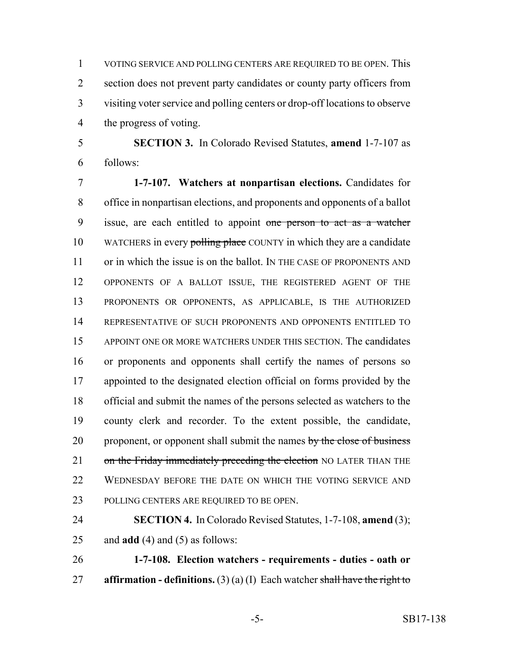VOTING SERVICE AND POLLING CENTERS ARE REQUIRED TO BE OPEN. This 2 section does not prevent party candidates or county party officers from visiting voter service and polling centers or drop-off locations to observe the progress of voting.

 **SECTION 3.** In Colorado Revised Statutes, **amend** 1-7-107 as follows:

 **1-7-107. Watchers at nonpartisan elections.** Candidates for office in nonpartisan elections, and proponents and opponents of a ballot 9 issue, are each entitled to appoint one person to act as a watcher 10 WATCHERS in every polling place COUNTY in which they are a candidate 11 or in which the issue is on the ballot. IN THE CASE OF PROPONENTS AND OPPONENTS OF A BALLOT ISSUE, THE REGISTERED AGENT OF THE PROPONENTS OR OPPONENTS, AS APPLICABLE, IS THE AUTHORIZED REPRESENTATIVE OF SUCH PROPONENTS AND OPPONENTS ENTITLED TO APPOINT ONE OR MORE WATCHERS UNDER THIS SECTION. The candidates or proponents and opponents shall certify the names of persons so appointed to the designated election official on forms provided by the official and submit the names of the persons selected as watchers to the county clerk and recorder. To the extent possible, the candidate, 20 proponent, or opponent shall submit the names by the close of business 21 on the Friday immediately preceding the election NO LATER THAN THE 22 WEDNESDAY BEFORE THE DATE ON WHICH THE VOTING SERVICE AND POLLING CENTERS ARE REQUIRED TO BE OPEN.

 **SECTION 4.** In Colorado Revised Statutes, 1-7-108, **amend** (3); and **add** (4) and (5) as follows:

 **1-7-108. Election watchers - requirements - duties - oath or affirmation - definitions.** (3) (a) (I) Each watcher shall have the right to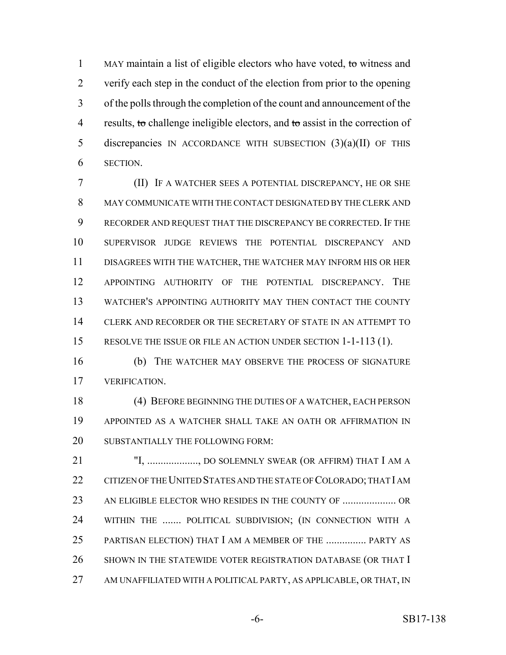1 MAY maintain a list of eligible electors who have voted, to witness and verify each step in the conduct of the election from prior to the opening of the polls through the completion of the count and announcement of the 4 results, to challenge ineligible electors, and to assist in the correction of discrepancies IN ACCORDANCE WITH SUBSECTION (3)(a)(II) OF THIS SECTION.

 (II) IF A WATCHER SEES A POTENTIAL DISCREPANCY, HE OR SHE MAY COMMUNICATE WITH THE CONTACT DESIGNATED BY THE CLERK AND RECORDER AND REQUEST THAT THE DISCREPANCY BE CORRECTED. IF THE SUPERVISOR JUDGE REVIEWS THE POTENTIAL DISCREPANCY AND DISAGREES WITH THE WATCHER, THE WATCHER MAY INFORM HIS OR HER APPOINTING AUTHORITY OF THE POTENTIAL DISCREPANCY. THE WATCHER'S APPOINTING AUTHORITY MAY THEN CONTACT THE COUNTY CLERK AND RECORDER OR THE SECRETARY OF STATE IN AN ATTEMPT TO RESOLVE THE ISSUE OR FILE AN ACTION UNDER SECTION 1-1-113 (1).

 (b) THE WATCHER MAY OBSERVE THE PROCESS OF SIGNATURE VERIFICATION.

 (4) BEFORE BEGINNING THE DUTIES OF A WATCHER, EACH PERSON APPOINTED AS A WATCHER SHALL TAKE AN OATH OR AFFIRMATION IN 20 SUBSTANTIALLY THE FOLLOWING FORM:

 "I, ..................., DO SOLEMNLY SWEAR (OR AFFIRM) THAT I AM A 22 CITIZEN OF THE UNITED STATES AND THE STATE OF COLORADO; THAT I AM AN ELIGIBLE ELECTOR WHO RESIDES IN THE COUNTY OF .................... OR WITHIN THE ....... POLITICAL SUBDIVISION; (IN CONNECTION WITH A PARTISAN ELECTION) THAT I AM A MEMBER OF THE ............... PARTY AS 26 SHOWN IN THE STATEWIDE VOTER REGISTRATION DATABASE (OR THAT I 27 AM UNAFFILIATED WITH A POLITICAL PARTY, AS APPLICABLE, OR THAT, IN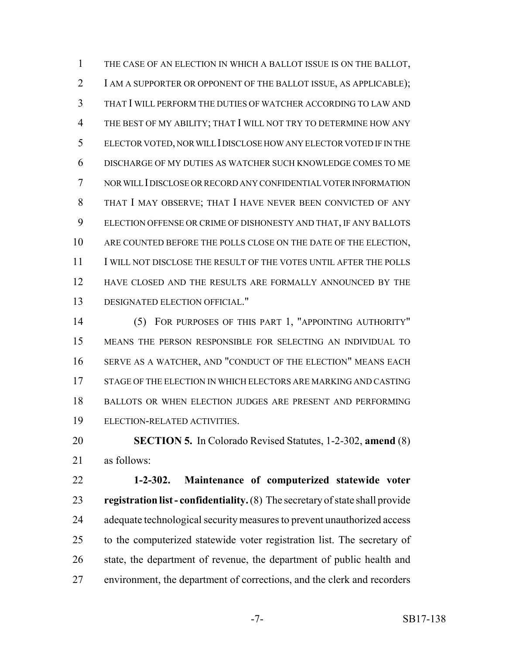THE CASE OF AN ELECTION IN WHICH A BALLOT ISSUE IS ON THE BALLOT, I AM A SUPPORTER OR OPPONENT OF THE BALLOT ISSUE, AS APPLICABLE); THAT I WILL PERFORM THE DUTIES OF WATCHER ACCORDING TO LAW AND THE BEST OF MY ABILITY; THAT I WILL NOT TRY TO DETERMINE HOW ANY ELECTOR VOTED, NOR WILL I DISCLOSE HOW ANY ELECTOR VOTED IF IN THE DISCHARGE OF MY DUTIES AS WATCHER SUCH KNOWLEDGE COMES TO ME NOR WILL I DISCLOSE OR RECORD ANY CONFIDENTIAL VOTER INFORMATION THAT I MAY OBSERVE; THAT I HAVE NEVER BEEN CONVICTED OF ANY ELECTION OFFENSE OR CRIME OF DISHONESTY AND THAT, IF ANY BALLOTS ARE COUNTED BEFORE THE POLLS CLOSE ON THE DATE OF THE ELECTION, I WILL NOT DISCLOSE THE RESULT OF THE VOTES UNTIL AFTER THE POLLS 12 HAVE CLOSED AND THE RESULTS ARE FORMALLY ANNOUNCED BY THE DESIGNATED ELECTION OFFICIAL."

 (5) FOR PURPOSES OF THIS PART 1, "APPOINTING AUTHORITY" MEANS THE PERSON RESPONSIBLE FOR SELECTING AN INDIVIDUAL TO SERVE AS A WATCHER, AND "CONDUCT OF THE ELECTION" MEANS EACH STAGE OF THE ELECTION IN WHICH ELECTORS ARE MARKING AND CASTING BALLOTS OR WHEN ELECTION JUDGES ARE PRESENT AND PERFORMING ELECTION-RELATED ACTIVITIES.

 **SECTION 5.** In Colorado Revised Statutes, 1-2-302, **amend** (8) as follows:

 **1-2-302. Maintenance of computerized statewide voter registration list - confidentiality.** (8) The secretary of state shall provide 24 adequate technological security measures to prevent unauthorized access to the computerized statewide voter registration list. The secretary of state, the department of revenue, the department of public health and environment, the department of corrections, and the clerk and recorders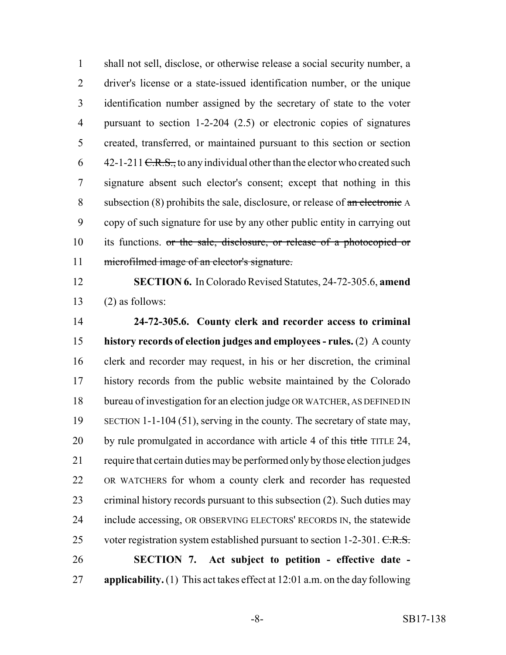shall not sell, disclose, or otherwise release a social security number, a driver's license or a state-issued identification number, or the unique identification number assigned by the secretary of state to the voter pursuant to section 1-2-204 (2.5) or electronic copies of signatures created, transferred, or maintained pursuant to this section or section 6 42-1-211 <del>C.R.S.,</del> to any individual other than the elector who created such signature absent such elector's consent; except that nothing in this 8 subsection (8) prohibits the sale, disclosure, or release of  $\alpha$ n electronic A copy of such signature for use by any other public entity in carrying out its functions. or the sale, disclosure, or release of a photocopied or microfilmed image of an elector's signature.

 **SECTION 6.** In Colorado Revised Statutes, 24-72-305.6, **amend** 13  $(2)$  as follows:

 **24-72-305.6. County clerk and recorder access to criminal history records of election judges and employees - rules.** (2) A county clerk and recorder may request, in his or her discretion, the criminal history records from the public website maintained by the Colorado bureau of investigation for an election judge OR WATCHER, AS DEFINED IN 19 SECTION 1-1-104 (51), serving in the county. The secretary of state may, 20 by rule promulgated in accordance with article 4 of this title TITLE 24, require that certain duties may be performed only by those election judges OR WATCHERS for whom a county clerk and recorder has requested criminal history records pursuant to this subsection (2). Such duties may include accessing, OR OBSERVING ELECTORS' RECORDS IN, the statewide 25 voter registration system established pursuant to section 1-2-301. C.R.S. **SECTION 7. Act subject to petition - effective date - applicability.** (1) This act takes effect at 12:01 a.m. on the day following